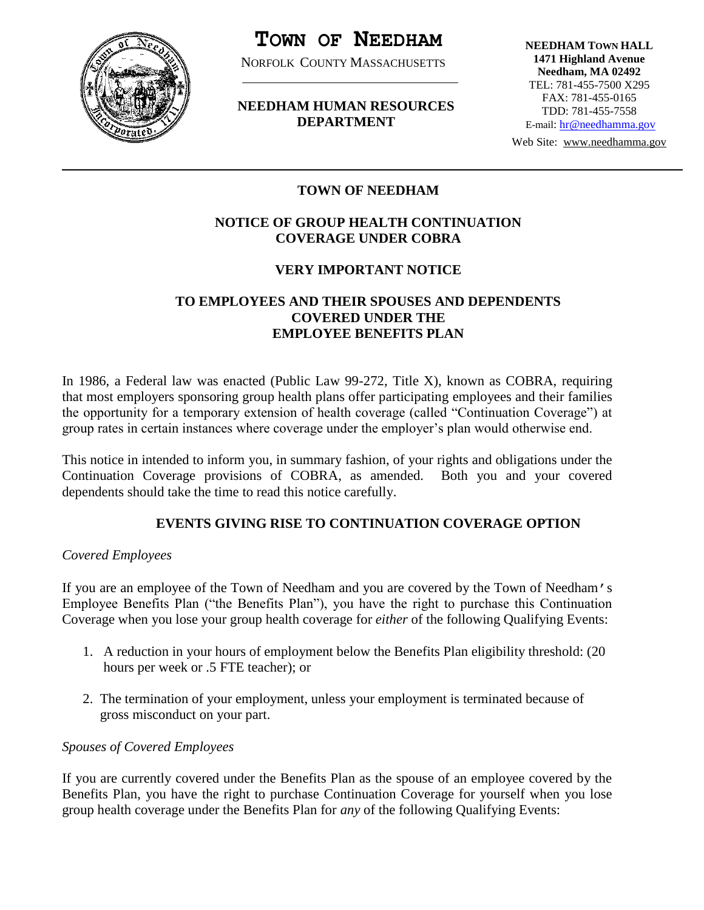

# **TOWN OF NEEDHAM**

NORFOLK COUNTY MASSACHUSETTS

# **NEEDHAM HUMAN RESOURCES DEPARTMENT**

**NEEDHAM TOWN HALL 1471 Highland Avenue Needham, MA 02492** TEL: 781-455-7500 X295 FAX: 781-455-0165 TDD: 781-455-7558 E-mail: [hr@needhamma.gov](mailto:hr@needhamma.gov)

Web Site: www.needhamma.gov

## İ **TOWN OF NEEDHAM**

# **NOTICE OF GROUP HEALTH CONTINUATION COVERAGE UNDER COBRA**

## **VERY IMPORTANT NOTICE**

# **TO EMPLOYEES AND THEIR SPOUSES AND DEPENDENTS COVERED UNDER THE EMPLOYEE BENEFITS PLAN**

In 1986, a Federal law was enacted (Public Law 99-272, Title X), known as COBRA, requiring that most employers sponsoring group health plans offer participating employees and their families the opportunity for a temporary extension of health coverage (called "Continuation Coverage") at group rates in certain instances where coverage under the employer's plan would otherwise end.

This notice in intended to inform you, in summary fashion, of your rights and obligations under the Continuation Coverage provisions of COBRA, as amended. Both you and your covered dependents should take the time to read this notice carefully.

# **EVENTS GIVING RISE TO CONTINUATION COVERAGE OPTION**

## *Covered Employees*

If you are an employee of the Town of Needham and you are covered by the Town of Needham's Employee Benefits Plan ("the Benefits Plan"), you have the right to purchase this Continuation Coverage when you lose your group health coverage for *either* of the following Qualifying Events:

- 1. A reduction in your hours of employment below the Benefits Plan eligibility threshold: (20 hours per week or .5 FTE teacher); or
- 2. The termination of your employment, unless your employment is terminated because of gross misconduct on your part.

## *Spouses of Covered Employees*

If you are currently covered under the Benefits Plan as the spouse of an employee covered by the Benefits Plan, you have the right to purchase Continuation Coverage for yourself when you lose group health coverage under the Benefits Plan for *any* of the following Qualifying Events: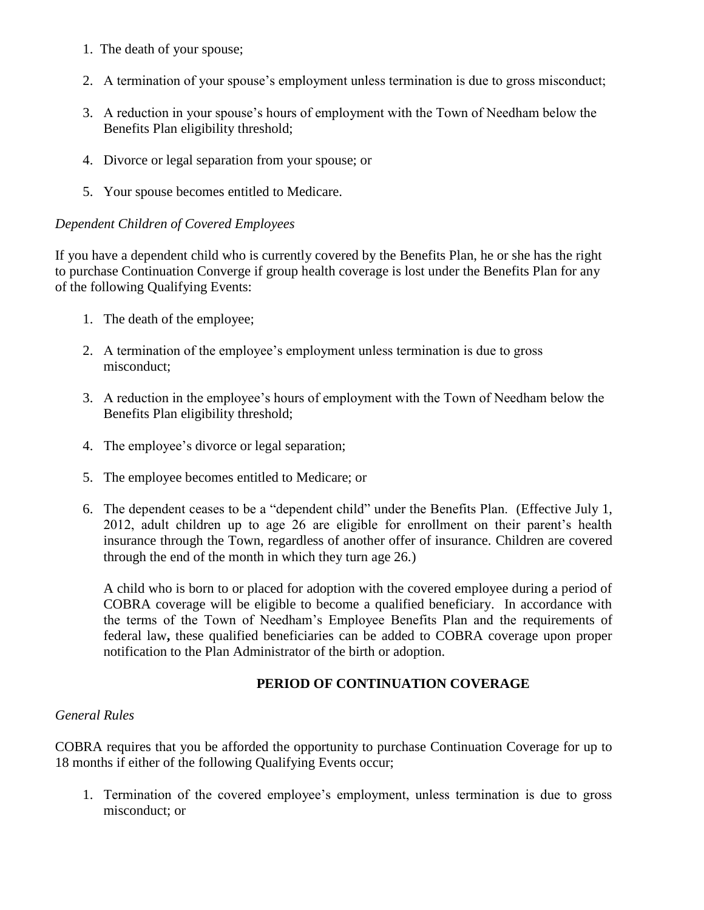- 1. The death of your spouse;
- 2. A termination of your spouse's employment unless termination is due to gross misconduct;
- 3. A reduction in your spouse's hours of employment with the Town of Needham below the Benefits Plan eligibility threshold;
- 4. Divorce or legal separation from your spouse; or
- 5. Your spouse becomes entitled to Medicare.

## *Dependent Children of Covered Employees*

If you have a dependent child who is currently covered by the Benefits Plan, he or she has the right to purchase Continuation Converge if group health coverage is lost under the Benefits Plan for any of the following Qualifying Events:

- 1. The death of the employee;
- 2. A termination of the employee's employment unless termination is due to gross misconduct;
- 3. A reduction in the employee's hours of employment with the Town of Needham below the Benefits Plan eligibility threshold;
- 4. The employee's divorce or legal separation;
- 5. The employee becomes entitled to Medicare; or
- 6. The dependent ceases to be a "dependent child" under the Benefits Plan. (Effective July 1, 2012, adult children up to age 26 are eligible for enrollment on their parent's health insurance through the Town, regardless of another offer of insurance. Children are covered through the end of the month in which they turn age 26.)

A child who is born to or placed for adoption with the covered employee during a period of COBRA coverage will be eligible to become a qualified beneficiary. In accordance with the terms of the Town of Needham's Employee Benefits Plan and the requirements of federal law**,** these qualified beneficiaries can be added to COBRA coverage upon proper notification to the Plan Administrator of the birth or adoption.

# **PERIOD OF CONTINUATION COVERAGE**

## *General Rules*

COBRA requires that you be afforded the opportunity to purchase Continuation Coverage for up to 18 months if either of the following Qualifying Events occur;

1. Termination of the covered employee's employment, unless termination is due to gross misconduct; or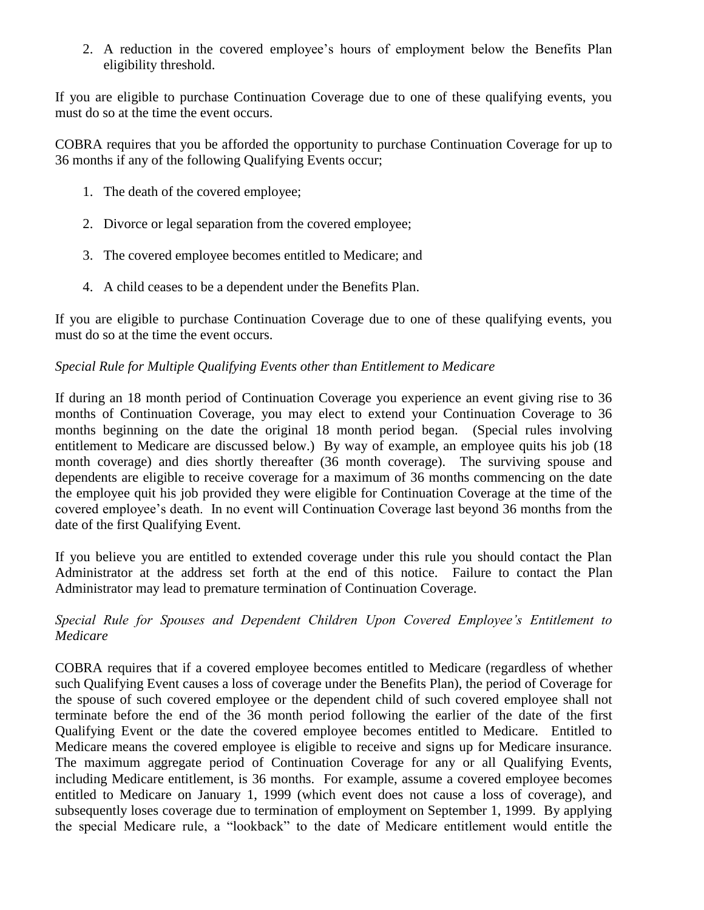2. A reduction in the covered employee's hours of employment below the Benefits Plan eligibility threshold.

If you are eligible to purchase Continuation Coverage due to one of these qualifying events, you must do so at the time the event occurs.

COBRA requires that you be afforded the opportunity to purchase Continuation Coverage for up to 36 months if any of the following Qualifying Events occur;

- 1. The death of the covered employee;
- 2. Divorce or legal separation from the covered employee;
- 3. The covered employee becomes entitled to Medicare; and
- 4. A child ceases to be a dependent under the Benefits Plan.

If you are eligible to purchase Continuation Coverage due to one of these qualifying events, you must do so at the time the event occurs.

# *Special Rule for Multiple Qualifying Events other than Entitlement to Medicare*

If during an 18 month period of Continuation Coverage you experience an event giving rise to 36 months of Continuation Coverage, you may elect to extend your Continuation Coverage to 36 months beginning on the date the original 18 month period began. (Special rules involving entitlement to Medicare are discussed below.) By way of example, an employee quits his job (18 month coverage) and dies shortly thereafter (36 month coverage). The surviving spouse and dependents are eligible to receive coverage for a maximum of 36 months commencing on the date the employee quit his job provided they were eligible for Continuation Coverage at the time of the covered employee's death. In no event will Continuation Coverage last beyond 36 months from the date of the first Qualifying Event.

If you believe you are entitled to extended coverage under this rule you should contact the Plan Administrator at the address set forth at the end of this notice. Failure to contact the Plan Administrator may lead to premature termination of Continuation Coverage.

# *Special Rule for Spouses and Dependent Children Upon Covered Employee's Entitlement to Medicare*

COBRA requires that if a covered employee becomes entitled to Medicare (regardless of whether such Qualifying Event causes a loss of coverage under the Benefits Plan), the period of Coverage for the spouse of such covered employee or the dependent child of such covered employee shall not terminate before the end of the 36 month period following the earlier of the date of the first Qualifying Event or the date the covered employee becomes entitled to Medicare. Entitled to Medicare means the covered employee is eligible to receive and signs up for Medicare insurance. The maximum aggregate period of Continuation Coverage for any or all Qualifying Events, including Medicare entitlement, is 36 months. For example, assume a covered employee becomes entitled to Medicare on January 1, 1999 (which event does not cause a loss of coverage), and subsequently loses coverage due to termination of employment on September 1, 1999. By applying the special Medicare rule, a "lookback" to the date of Medicare entitlement would entitle the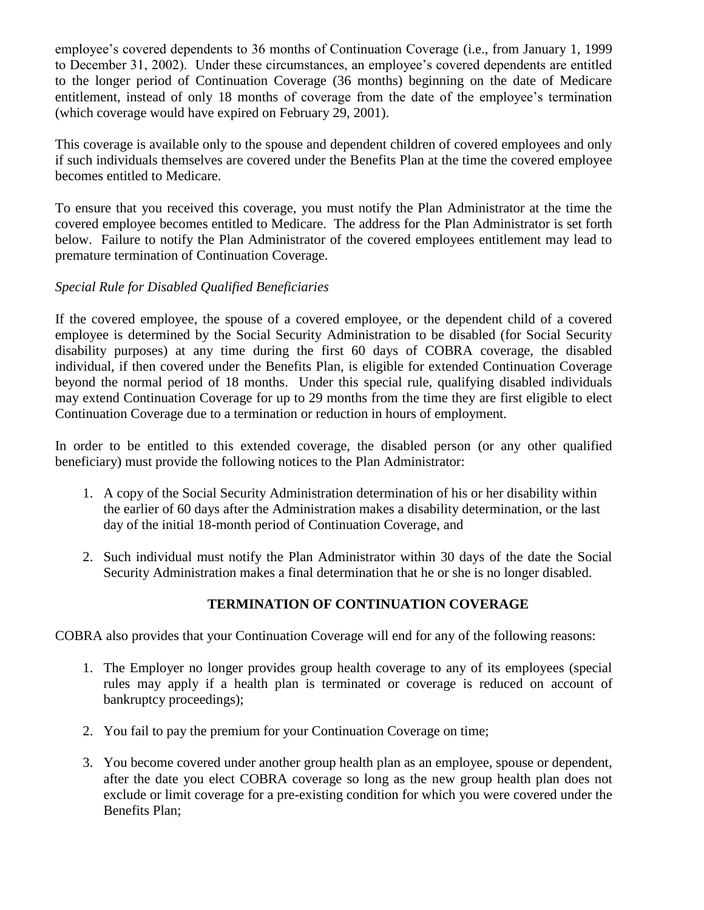employee's covered dependents to 36 months of Continuation Coverage (i.e., from January 1, 1999 to December 31, 2002). Under these circumstances, an employee's covered dependents are entitled to the longer period of Continuation Coverage (36 months) beginning on the date of Medicare entitlement, instead of only 18 months of coverage from the date of the employee's termination (which coverage would have expired on February 29, 2001).

This coverage is available only to the spouse and dependent children of covered employees and only if such individuals themselves are covered under the Benefits Plan at the time the covered employee becomes entitled to Medicare.

To ensure that you received this coverage, you must notify the Plan Administrator at the time the covered employee becomes entitled to Medicare. The address for the Plan Administrator is set forth below. Failure to notify the Plan Administrator of the covered employees entitlement may lead to premature termination of Continuation Coverage.

# *Special Rule for Disabled Qualified Beneficiaries*

If the covered employee, the spouse of a covered employee, or the dependent child of a covered employee is determined by the Social Security Administration to be disabled (for Social Security disability purposes) at any time during the first 60 days of COBRA coverage, the disabled individual, if then covered under the Benefits Plan, is eligible for extended Continuation Coverage beyond the normal period of 18 months. Under this special rule, qualifying disabled individuals may extend Continuation Coverage for up to 29 months from the time they are first eligible to elect Continuation Coverage due to a termination or reduction in hours of employment.

In order to be entitled to this extended coverage, the disabled person (or any other qualified beneficiary) must provide the following notices to the Plan Administrator:

- 1. A copy of the Social Security Administration determination of his or her disability within the earlier of 60 days after the Administration makes a disability determination, or the last day of the initial 18-month period of Continuation Coverage, and
- 2. Such individual must notify the Plan Administrator within 30 days of the date the Social Security Administration makes a final determination that he or she is no longer disabled.

# **TERMINATION OF CONTINUATION COVERAGE**

COBRA also provides that your Continuation Coverage will end for any of the following reasons:

- 1. The Employer no longer provides group health coverage to any of its employees (special rules may apply if a health plan is terminated or coverage is reduced on account of bankruptcy proceedings);
- 2. You fail to pay the premium for your Continuation Coverage on time;
- 3. You become covered under another group health plan as an employee, spouse or dependent, after the date you elect COBRA coverage so long as the new group health plan does not exclude or limit coverage for a pre-existing condition for which you were covered under the Benefits Plan;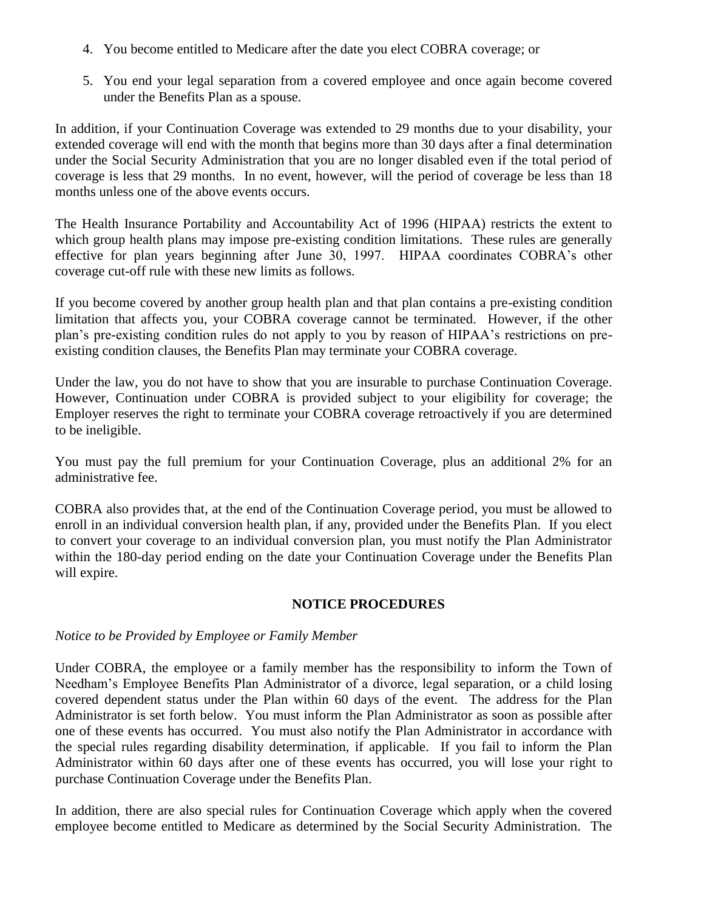- 4. You become entitled to Medicare after the date you elect COBRA coverage; or
- 5. You end your legal separation from a covered employee and once again become covered under the Benefits Plan as a spouse.

In addition, if your Continuation Coverage was extended to 29 months due to your disability, your extended coverage will end with the month that begins more than 30 days after a final determination under the Social Security Administration that you are no longer disabled even if the total period of coverage is less that 29 months. In no event, however, will the period of coverage be less than 18 months unless one of the above events occurs.

The Health Insurance Portability and Accountability Act of 1996 (HIPAA) restricts the extent to which group health plans may impose pre-existing condition limitations. These rules are generally effective for plan years beginning after June 30, 1997. HIPAA coordinates COBRA's other coverage cut-off rule with these new limits as follows.

If you become covered by another group health plan and that plan contains a pre-existing condition limitation that affects you, your COBRA coverage cannot be terminated. However, if the other plan's pre-existing condition rules do not apply to you by reason of HIPAA's restrictions on preexisting condition clauses, the Benefits Plan may terminate your COBRA coverage.

Under the law, you do not have to show that you are insurable to purchase Continuation Coverage. However, Continuation under COBRA is provided subject to your eligibility for coverage; the Employer reserves the right to terminate your COBRA coverage retroactively if you are determined to be ineligible.

You must pay the full premium for your Continuation Coverage, plus an additional 2% for an administrative fee.

COBRA also provides that, at the end of the Continuation Coverage period, you must be allowed to enroll in an individual conversion health plan, if any, provided under the Benefits Plan. If you elect to convert your coverage to an individual conversion plan, you must notify the Plan Administrator within the 180-day period ending on the date your Continuation Coverage under the Benefits Plan will expire.

## **NOTICE PROCEDURES**

## *Notice to be Provided by Employee or Family Member*

Under COBRA, the employee or a family member has the responsibility to inform the Town of Needham's Employee Benefits Plan Administrator of a divorce, legal separation, or a child losing covered dependent status under the Plan within 60 days of the event. The address for the Plan Administrator is set forth below. You must inform the Plan Administrator as soon as possible after one of these events has occurred. You must also notify the Plan Administrator in accordance with the special rules regarding disability determination, if applicable. If you fail to inform the Plan Administrator within 60 days after one of these events has occurred, you will lose your right to purchase Continuation Coverage under the Benefits Plan.

In addition, there are also special rules for Continuation Coverage which apply when the covered employee become entitled to Medicare as determined by the Social Security Administration. The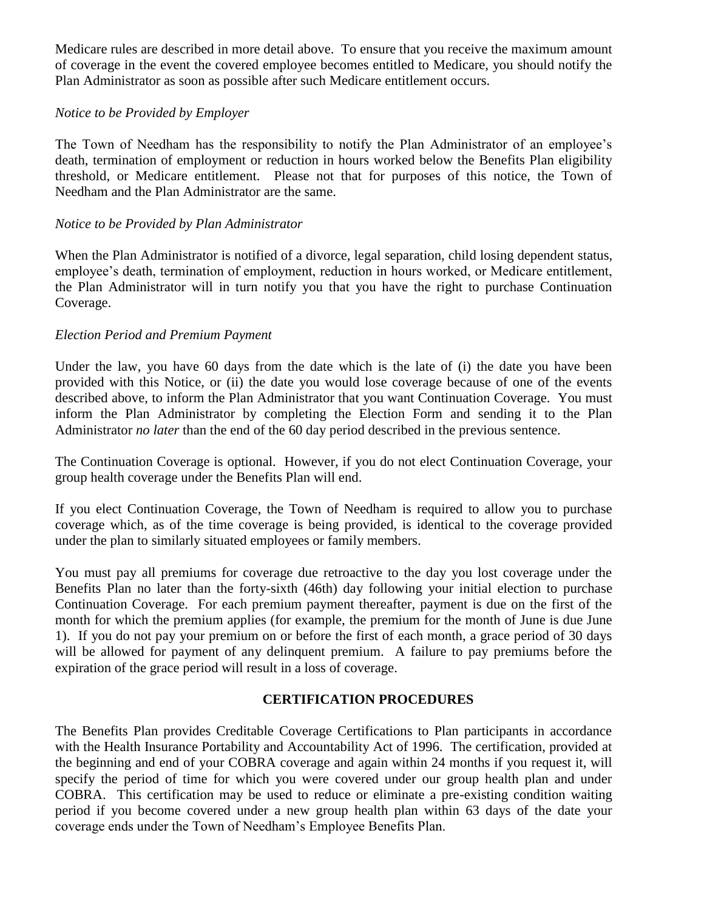Medicare rules are described in more detail above. To ensure that you receive the maximum amount of coverage in the event the covered employee becomes entitled to Medicare, you should notify the Plan Administrator as soon as possible after such Medicare entitlement occurs.

## *Notice to be Provided by Employer*

The Town of Needham has the responsibility to notify the Plan Administrator of an employee's death, termination of employment or reduction in hours worked below the Benefits Plan eligibility threshold, or Medicare entitlement. Please not that for purposes of this notice, the Town of Needham and the Plan Administrator are the same.

## *Notice to be Provided by Plan Administrator*

When the Plan Administrator is notified of a divorce, legal separation, child losing dependent status, employee's death, termination of employment, reduction in hours worked, or Medicare entitlement, the Plan Administrator will in turn notify you that you have the right to purchase Continuation Coverage.

## *Election Period and Premium Payment*

Under the law, you have 60 days from the date which is the late of (i) the date you have been provided with this Notice, or (ii) the date you would lose coverage because of one of the events described above, to inform the Plan Administrator that you want Continuation Coverage. You must inform the Plan Administrator by completing the Election Form and sending it to the Plan Administrator *no later* than the end of the 60 day period described in the previous sentence.

The Continuation Coverage is optional. However, if you do not elect Continuation Coverage, your group health coverage under the Benefits Plan will end.

If you elect Continuation Coverage, the Town of Needham is required to allow you to purchase coverage which, as of the time coverage is being provided, is identical to the coverage provided under the plan to similarly situated employees or family members.

You must pay all premiums for coverage due retroactive to the day you lost coverage under the Benefits Plan no later than the forty-sixth (46th) day following your initial election to purchase Continuation Coverage. For each premium payment thereafter, payment is due on the first of the month for which the premium applies (for example, the premium for the month of June is due June 1). If you do not pay your premium on or before the first of each month, a grace period of 30 days will be allowed for payment of any delinquent premium. A failure to pay premiums before the expiration of the grace period will result in a loss of coverage.

# **CERTIFICATION PROCEDURES**

The Benefits Plan provides Creditable Coverage Certifications to Plan participants in accordance with the Health Insurance Portability and Accountability Act of 1996. The certification, provided at the beginning and end of your COBRA coverage and again within 24 months if you request it, will specify the period of time for which you were covered under our group health plan and under COBRA. This certification may be used to reduce or eliminate a pre-existing condition waiting period if you become covered under a new group health plan within 63 days of the date your coverage ends under the Town of Needham's Employee Benefits Plan.